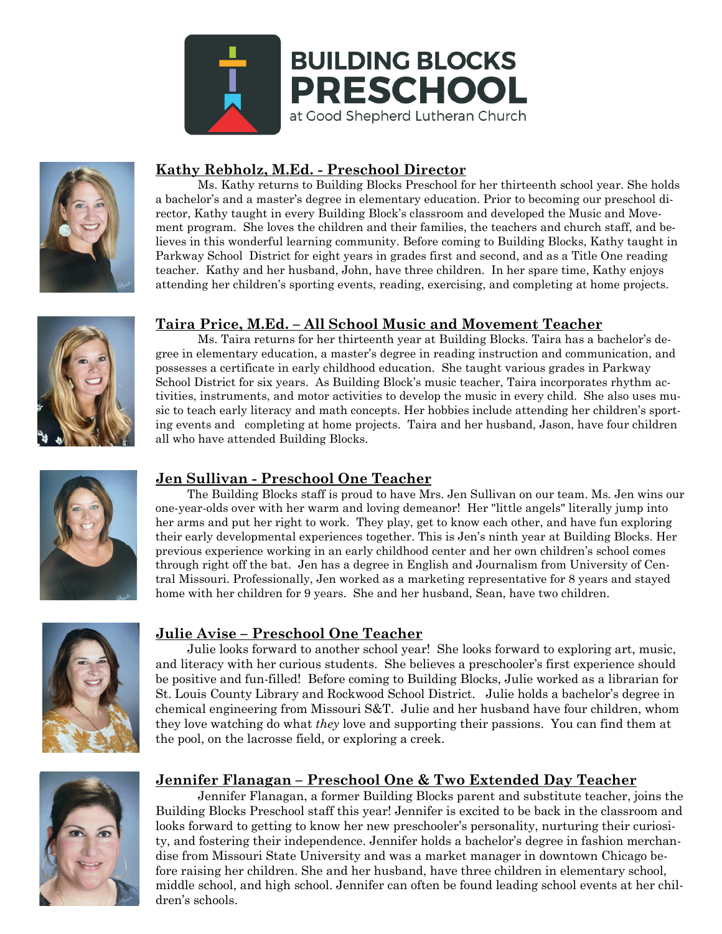



### **Kathy Rebholz, M.Ed. - Preschool Director**

Ms. Kathy returns to Building Blocks Preschool for her thirteenth school year. She holds a bachelor's and a master's degree in elementary education. Prior to becoming our preschool director, Kathy taught in every Building Block's classroom and developed the Music and Movement program. She loves the children and their families, the teachers and church staff, and believes in this wonderful learning community. Before coming to Building Blocks, Kathy taught in Parkway School District for eight years in grades first and second, and as a Title One reading teacher. Kathy and her husband, John, have three children. In her spare time, Kathy enjoys attending her children's sporting events, reading, exercising, and completing at home projects.



#### **Taira Price, M.Ed. – All School Music and Movement Teacher**

Ms. Taira returns for her thirteenth year at Building Blocks. Taira has a bachelor's degree in elementary education, a master's degree in reading instruction and communication, and possesses a certificate in early childhood education. She taught various grades in Parkway School District for six years. As Building Block's music teacher, Taira incorporates rhythm activities, instruments, and motor activities to develop the music in every child. She also uses music to teach early literacy and math concepts. Her hobbies include attending her children's sporting events and completing at home projects. Taira and her husband, Jason, have four children all who have attended Building Blocks.



#### **Jen Sullivan - Preschool One Teacher**

The Building Blocks staff is proud to have Mrs. Jen Sullivan on our team. Ms. Jen wins our one-year-olds over with her warm and loving demeanor! Her "little angels" literally jump into her arms and put her right to work. They play, get to know each other, and have fun exploring their early developmental experiences together. This is Jen's ninth year at Building Blocks. Her previous experience working in an early childhood center and her own children's school comes through right off the bat. Jen has a degree in English and Journalism from University of Central Missouri. Professionally, Jen worked as a marketing representative for 8 years and stayed home with her children for 9 years. She and her husband, Sean, have two children.



#### **Julie Avise – Preschool One Teacher**

Julie looks forward to another school year! She looks forward to exploring art, music, and literacy with her curious students. She believes a preschooler's first experience should be positive and fun-filled! Before coming to Building Blocks, Julie worked as a librarian for St. Louis County Library and Rockwood School District. Julie holds a bachelor's degree in chemical engineering from Missouri S&T. Julie and her husband have four children, whom they love watching do what *they* love and supporting their passions. You can find them at the pool, on the lacrosse field, or exploring a creek.



#### **Jennifer Flanagan – Preschool One & Two Extended Day Teacher**

Jennifer Flanagan, a former Building Blocks parent and substitute teacher, joins the Building Blocks Preschool staff this year! Jennifer is excited to be back in the classroom and looks forward to getting to know her new preschooler's personality, nurturing their curiosity, and fostering their independence. Jennifer holds a bachelor's degree in fashion merchandise from Missouri State University and was a market manager in downtown Chicago before raising her children. She and her husband, have three children in elementary school, middle school, and high school. Jennifer can often be found leading school events at her children's schools.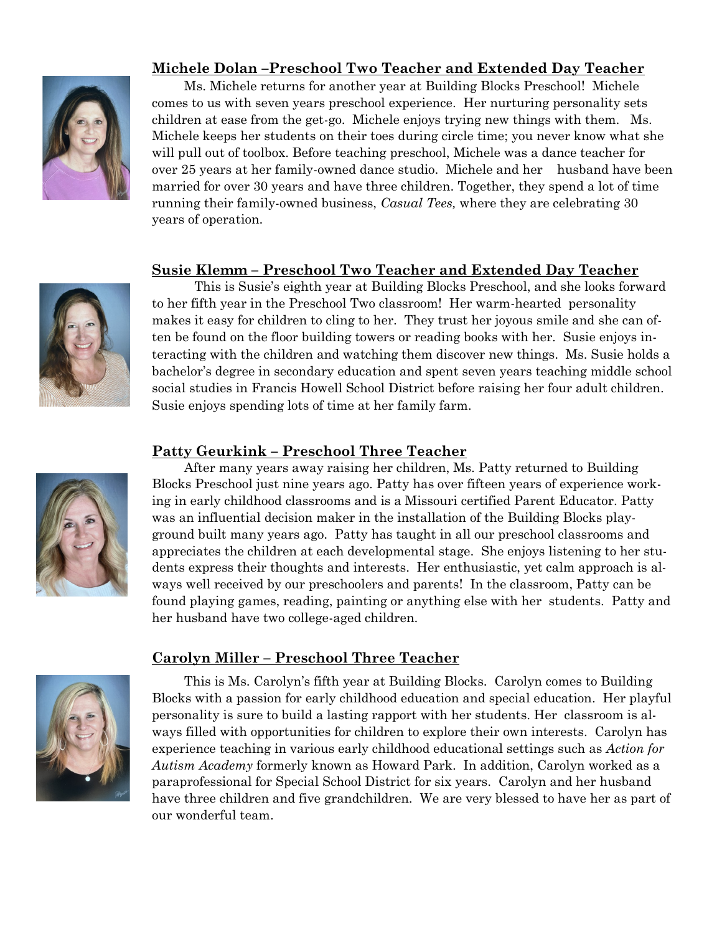

# **Michele Dolan –Preschool Two Teacher and Extended Day Teacher**

Ms. Michele returns for another year at Building Blocks Preschool! Michele comes to us with seven years preschool experience. Her nurturing personality sets children at ease from the get-go. Michele enjoys trying new things with them. Ms. Michele keeps her students on their toes during circle time; you never know what she will pull out of toolbox. Before teaching preschool, Michele was a dance teacher for over 25 years at her family-owned dance studio. Michele and her husband have been married for over 30 years and have three children. Together, they spend a lot of time running their family-owned business, *Casual Tees,* where they are celebrating 30 years of operation.

### **Susie Klemm – Preschool Two Teacher and Extended Day Teacher**



This is Susie's eighth year at Building Blocks Preschool, and she looks forward to her fifth year in the Preschool Two classroom! Her warm-hearted personality makes it easy for children to cling to her. They trust her joyous smile and she can often be found on the floor building towers or reading books with her. Susie enjoys interacting with the children and watching them discover new things. Ms. Susie holds a bachelor's degree in secondary education and spent seven years teaching middle school social studies in Francis Howell School District before raising her four adult children. Susie enjoys spending lots of time at her family farm.

### **Patty Geurkink – Preschool Three Teacher**



After many years away raising her children, Ms. Patty returned to Building Blocks Preschool just nine years ago. Patty has over fifteen years of experience working in early childhood classrooms and is a Missouri certified Parent Educator. Patty was an influential decision maker in the installation of the Building Blocks playground built many years ago. Patty has taught in all our preschool classrooms and appreciates the children at each developmental stage. She enjoys listening to her students express their thoughts and interests. Her enthusiastic, yet calm approach is always well received by our preschoolers and parents! In the classroom, Patty can be found playing games, reading, painting or anything else with her students. Patty and her husband have two college-aged children.



## **Carolyn Miller – Preschool Three Teacher**

This is Ms. Carolyn's fifth year at Building Blocks. Carolyn comes to Building Blocks with a passion for early childhood education and special education. Her playful personality is sure to build a lasting rapport with her students. Her classroom is always filled with opportunities for children to explore their own interests. Carolyn has experience teaching in various early childhood educational settings such as *Action for Autism Academy* formerly known as Howard Park. In addition, Carolyn worked as a paraprofessional for Special School District for six years. Carolyn and her husband have three children and five grandchildren. We are very blessed to have her as part of our wonderful team.